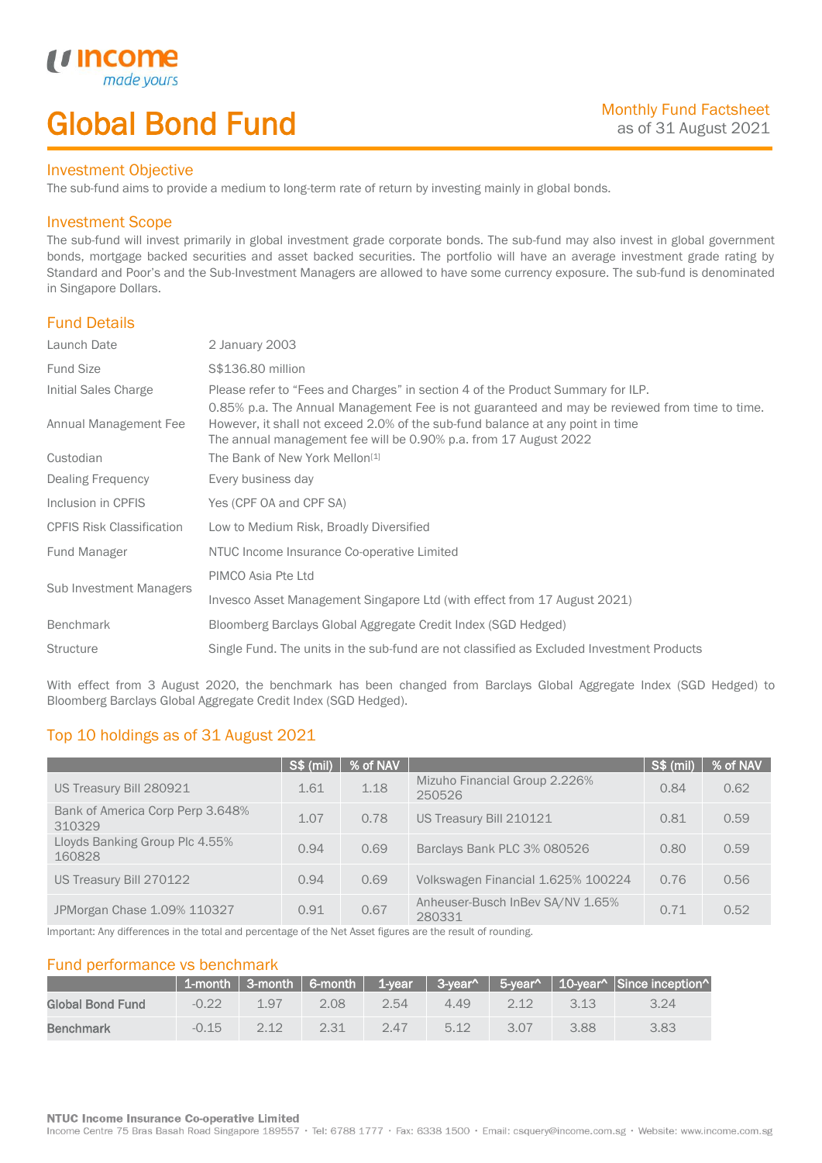# Global Bond Fund

### Investment Objective

made y

*u* Incom

I

The sub-fund aims to provide a medium to long-term rate of return by investing mainly in global bonds.

### Investment Scope

The sub-fund will invest primarily in global investment grade corporate bonds. The sub-fund may also invest in global government bonds, mortgage backed securities and asset backed securities. The portfolio will have an average investment grade rating by Standard and Poor's and the Sub-Investment Managers are allowed to have some currency exposure. The sub-fund is denominated in Singapore Dollars.

## Fund Details

| Launch Date                      | 2 January 2003                                                                                                                                                                                                                                      |  |  |  |  |
|----------------------------------|-----------------------------------------------------------------------------------------------------------------------------------------------------------------------------------------------------------------------------------------------------|--|--|--|--|
| <b>Fund Size</b>                 | S\$136.80 million                                                                                                                                                                                                                                   |  |  |  |  |
| Initial Sales Charge             | Please refer to "Fees and Charges" in section 4 of the Product Summary for ILP.                                                                                                                                                                     |  |  |  |  |
| Annual Management Fee            | 0.85% p.a. The Annual Management Fee is not guaranteed and may be reviewed from time to time.<br>However, it shall not exceed 2.0% of the sub-fund balance at any point in time<br>The annual management fee will be 0.90% p.a. from 17 August 2022 |  |  |  |  |
| Custodian                        | The Bank of New York Mellon <sup>[1]</sup>                                                                                                                                                                                                          |  |  |  |  |
| Dealing Frequency                | Every business day                                                                                                                                                                                                                                  |  |  |  |  |
| Inclusion in CPFIS               | Yes (CPF OA and CPF SA)                                                                                                                                                                                                                             |  |  |  |  |
| <b>CPFIS Risk Classification</b> | Low to Medium Risk, Broadly Diversified                                                                                                                                                                                                             |  |  |  |  |
| Fund Manager                     | NTUC Income Insurance Co-operative Limited                                                                                                                                                                                                          |  |  |  |  |
| Sub Investment Managers          | PIMCO Asia Pte Ltd                                                                                                                                                                                                                                  |  |  |  |  |
|                                  | Invesco Asset Management Singapore Ltd (with effect from 17 August 2021)                                                                                                                                                                            |  |  |  |  |
| <b>Benchmark</b>                 | Bloomberg Barclays Global Aggregate Credit Index (SGD Hedged)                                                                                                                                                                                       |  |  |  |  |
| <b>Structure</b>                 | Single Fund. The units in the sub-fund are not classified as Excluded Investment Products                                                                                                                                                           |  |  |  |  |

With effect from 3 August 2020, the benchmark has been changed from Barclays Global Aggregate Index (SGD Hedged) to Bloomberg Barclays Global Aggregate Credit Index (SGD Hedged).

## Top 10 holdings as of 31 August 2021

|                                            | <b>S\$ (mil)</b> | % of NAV |                                            | S\$ (mil) | % of NAV |
|--------------------------------------------|------------------|----------|--------------------------------------------|-----------|----------|
| US Treasury Bill 280921                    | 1.61             | 1.18     | Mizuho Financial Group 2.226%<br>250526    | 0.84      | 0.62     |
| Bank of America Corp Perp 3.648%<br>310329 | 1.07             | 0.78     | US Treasury Bill 210121                    | 0.81      | 0.59     |
| Lloyds Banking Group Plc 4.55%<br>160828   | 0.94             | 0.69     | Barclays Bank PLC 3% 080526                | 0.80      | 0.59     |
| US Treasury Bill 270122                    | 0.94             | 0.69     | Volkswagen Financial 1.625% 100224         | 0.76      | 0.56     |
| JPMorgan Chase 1.09% 110327                | 0.91             | 0.67     | Anheuser-Busch InBev SA/NV 1.65%<br>280331 | 0.71      | 0.52     |

Important: Any differences in the total and percentage of the Net Asset figures are the result of rounding.

## Fund performance vs benchmark

|                  |         |      |      |      |      |       |      | 1-month   3-month   6-month   1-year   3-year^   5-year^   10-year^   Since inception^ |
|------------------|---------|------|------|------|------|-------|------|----------------------------------------------------------------------------------------|
| Global Bond Fund | $-0.22$ | 197  | 2.08 | 2.54 | 4.49 | $212$ | 3.13 | 3.24                                                                                   |
| <b>Benchmark</b> | $-0.15$ | つ 1つ | 2.31 | 247  | 5.12 | 3.07  | 3.88 | 3.83                                                                                   |